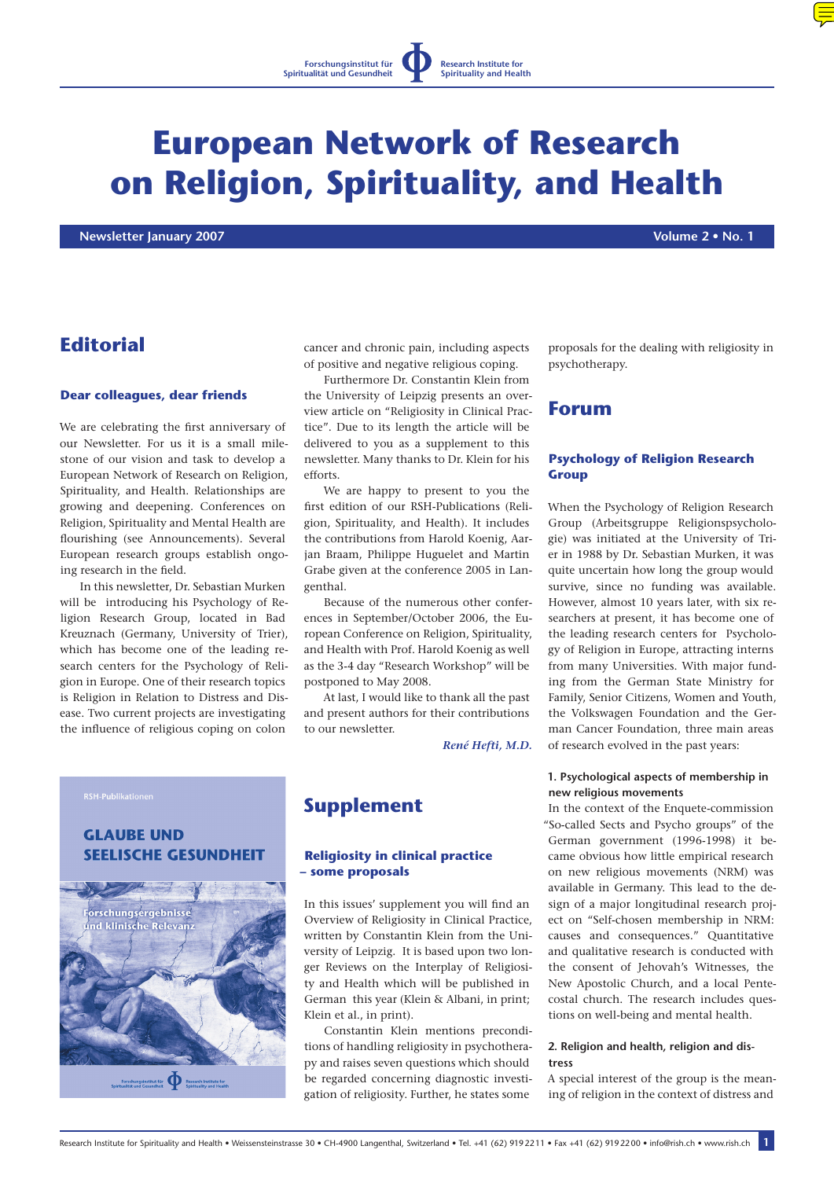# **European Network of Research on Religion, Spirituality, and Health**

 **Newsletter January 2007 Volume 2 • No. 1**

# **Editorial**

#### **Dear colleagues, dear friends**

We are celebrating the first anniversary of our Newsletter. For us it is a small milestone of our vision and task to develop a European Network of Research on Religion, Spirituality, and Health. Relationships are growing and deepening. Conferences on Religion, Spirituality and Mental Health are flourishing (see Announcements). Several European research groups establish ongoing research in the field.

In this newsletter, Dr. Sebastian Murken will be introducing his Psychology of Religion Research Group, located in Bad Kreuznach (Germany, University of Trier), which has become one of the leading research centers for the Psychology of Religion in Europe. One of their research topics is Religion in Relation to Distress and Disease. Two current projects are investigating the influence of religious coping on colon

cancer and chronic pain, including aspects of positive and negative religious coping.

Furthermore Dr. Constantin Klein from the University of Leipzig presents an overview article on "Religiosity in Clinical Practice". Due to its length the article will be delivered to you as a supplement to this newsletter. Many thanks to Dr. Klein for his efforts.

We are happy to present to you the first edition of our RSH-Publications (Religion, Spirituality, and Health). It includes the contributions from Harold Koenig, Aarjan Braam, Philippe Huguelet and Martin Grabe given at the conference 2005 in Langenthal.

Because of the numerous other conferences in September/October 2006, the European Conference on Religion, Spirituality, and Health with Prof. Harold Koenig as well as the 3-4 day "Research Workshop" will be postponed to May 2008.

At last, I would like to thank all the past and present authors for their contributions to our newsletter.

*[René Hefti, M.D.](mailto:info@rish.ch)*

# **GLAUBE UND SEELISCHE GESUNDHEIT**



# **Supplement**

#### **Religiosity in clinical practice – some proposals**

In this issues' supplement you will find an Overview of Religiosity in Clinical Practice, written by Constantin Klein from the University of Leipzig. It is based upon two longer Reviews on the Interplay of Religiosity and Health which will be published in German this year (Klein & Albani, in print; Klein et al., in print).

Constantin Klein mentions preconditions of handling religiosity in psychotherapy and raises seven questions which should be regarded concerning diagnostic investigation of religiosity. Further, he states some

proposals for the dealing with religiosity in psychotherapy.

## **Forum**

#### **Psychology of Religion Research Group**

When the Psychology of Religion Research Group (Arbeitsgruppe Religionspsychologie) was initiated at the University of Trier in 1988 by Dr. Sebastian Murken, it was quite uncertain how long the group would survive, since no funding was available. However, almost 10 years later, with six researchers at present, it has become one of the leading research centers for Psychology of Religion in Europe, attracting interns from many Universities. With major funding from the German State Ministry for Family, Senior Citizens, Women and Youth, the Volkswagen Foundation and the German Cancer Foundation, three main areas of research evolved in the past years:

#### **1. Psychological aspects of membership in new religious movements**

In the context of the Enquete-commission "So-called Sects and Psycho groups" of the German government (1996-1998) it became obvious how little empirical research on new religious movements (NRM) was available in Germany. This lead to the design of a major longitudinal research project on "Self-chosen membership in NRM: causes and consequences." Quantitative and qualitative research is conducted with the consent of Jehovah's Witnesses, the New Apostolic Church, and a local Pentecostal church. The research includes questions on well-being and mental health.

#### **2. Religion and health, religion and distress**

A special interest of the group is the meaning of religion in the context of distress and